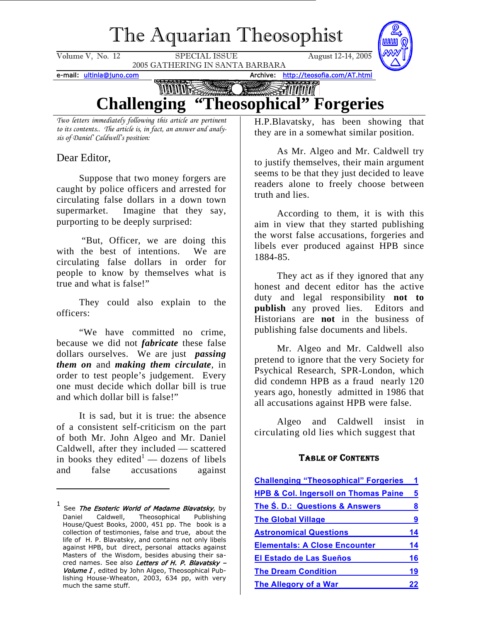## The Aquarian Theosophist

<span id="page-0-1"></span>

*Two letters immediately following this article are pertinent to its contents.. The article is, in fact, an answer and analysis of Daniel' Caldwell's position:*

Dear Editor,

Suppose that two money forgers are caught by police officers and arrested for circulating false dollars in a down town supermarket. Imagine that they say, purporting to be deeply surprised:

 "But, Officer, we are doing this with the best of intentions. We are circulating false dollars in order for people to know by themselves what is true and what is false!"

They could also explain to the officers:

"We have committed no crime, because we did not *fabricate* these false dollars ourselves. We are just *passing them on* and *making them circulate*, in order to test people's judgement. Every one must decide which dollar bill is true and which dollar bill is false!"

It is sad, but it is true: the absence of a consistent self-criticism on the part of both Mr. John Algeo and Mr. Daniel Caldwell, after they included — scattered in books they edited<sup>[1](#page-0-0)</sup> — dozens of libels and false accusations against

H.P.Blavatsky, has been showing that they are in a somewhat similar position.

As Mr. Algeo and Mr. Caldwell try to justify themselves, their main argument seems to be that they just decided to leave readers alone to freely choose between truth and lies.

According to them, it is with this aim in view that they started publishing the worst false accusations, forgeries and libels ever produced against HPB since 1884-85.

They act as if they ignored that any honest and decent editor has the active duty and legal responsibility **not to publish** any proved lies. Editors and Historians are **not** in the business of publishing false documents and libels.

Mr. Algeo and Mr. Caldwell also pretend to ignore that the very Society for Psychical Research, SPR-London, which did condemn HPB as a fraud nearly 120 years ago, honestly admitted in 1986 that all accusations against HPB were false.

Algeo and Caldwell insist in circulating old lies which suggest that

#### TABLE OF CONTENTS

| <b>Challenging "Theosophical" Forgeries</b>     |    |
|-------------------------------------------------|----|
| <b>HPB &amp; Col. Ingersoll on Thomas Paine</b> | 5  |
| The S. D.: Questions & Answers                  | 8  |
| <b>The Global Village</b>                       | 9  |
| <b>Astronomical Questions</b>                   | 14 |
| <b>Elementals: A Close Encounter</b>            | 14 |
| <b>El Estado de Las Sueños</b>                  | 16 |
| <b>The Dream Condition</b>                      | 19 |
| The Allegory of a War                           | 22 |

<span id="page-0-0"></span>cred names. See also *Letters of H. P. Blavatsky –*  $^1$  See *The Esoteric World of Madame Blavatsky*, by Daniel Caldwell, Theosophical Publishing House/Quest Books, 2000, 451 pp. The book is a collection of testimonies, false and true, about the life of H. P. Blavatsky, and contains not only libels against HPB, but direct, personal attacks against Masters of the Wisdom, besides abusing their sa-Volume I, edited by John Algeo, Theosophical Publishing House-Wheaton, 2003, 634 pp, with very much the same stuff.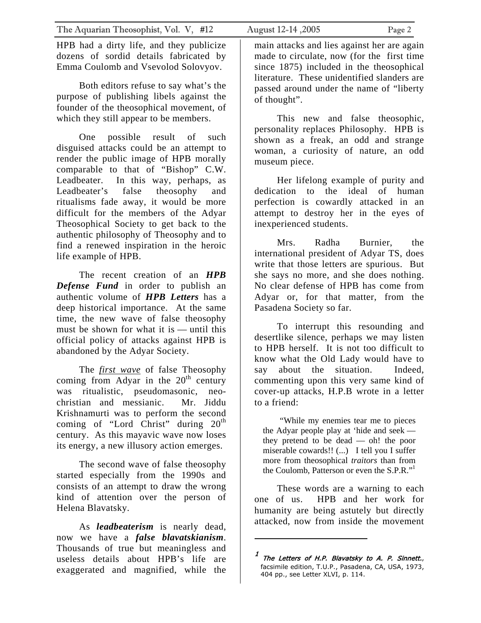HPB had a dirty life, and they publicize dozens of sordid details fabricated by Emma Coulomb and Vsevolod Solovyov.

Both editors refuse to say what's the purpose of publishing libels against the founder of the theosophical movement, of which they still appear to be members.

One possible result of such disguised attacks could be an attempt to render the public image of HPB morally comparable to that of "Bishop" C.W. Leadbeater. In this way, perhaps, as Leadbeater's false theosophy and ritualisms fade away, it would be more difficult for the members of the Adyar Theosophical Society to get back to the authentic philosophy of Theosophy and to find a renewed inspiration in the heroic life example of HPB.

The recent creation of an *HPB Defense Fund* in order to publish an authentic volume of *HPB Letters* has a deep historical importance. At the same time, the new wave of false theosophy must be shown for what it is — until this official policy of attacks against HPB is abandoned by the Adyar Society.

The *first wave* of false Theosophy coming from Adyar in the  $20<sup>th</sup>$  century was ritualistic, pseudomasonic, neochristian and messianic. Mr. Jiddu Krishnamurti was to perform the second coming of "Lord Christ" during  $20<sup>th</sup>$ century. As this mayavic wave now loses its energy, a new illusory action emerges.

The second wave of false theosophy started especially from the 1990s and consists of an attempt to draw the wrong kind of attention over the person of Helena Blavatsky.

As *leadbeaterism* is nearly dead, now we have a *false blavatskianism*. Thousands of true but meaningless and useless details about HPB's life are exaggerated and magnified, while the

main attacks and lies against her are again made to circulate, now (for the first time since 1875) included in the theosophical literature. These unidentified slanders are passed around under the name of "liberty of thought".

This new and false theosophic, personality replaces Philosophy. HPB is shown as a freak, an odd and strange woman, a curiosity of nature, an odd museum piece.

Her lifelong example of purity and dedication to the ideal of human perfection is cowardly attacked in an attempt to destroy her in the eyes of inexperienced students.

Mrs. Radha Burnier, the international president of Adyar TS, does write that those letters are spurious. But she says no more, and she does nothing. No clear defense of HPB has come from Adyar or, for that matter, from the Pasadena Society so far.

To interrupt this resounding and desertlike silence, perhaps we may listen to HPB herself. It is not too difficult to know what the Old Lady would have to say about the situation. Indeed, commenting upon this very same kind of cover-up attacks, H.P.B wrote in a letter to a friend:

"While my enemies tear me to pieces the Adyar people play at 'hide and seek they pretend to be dead — oh! the poor miserable cowards!! (...) I tell you I suffer more from theosophical *traitors* than from the Coulomb, Patterson or even the S.P.R."<sup>1</sup>

These words are a warning to each one of us. HPB and her work for humanity are being astutely but directly attacked, now from inside the movement

<span id="page-1-0"></span> $1$  The Letters of H.P. Blavatsky to A. P. Sinnett., facsimile edition, T.U.P., Pasadena, CA, USA, 1973, 404 pp., see Letter XLVI, p. 114.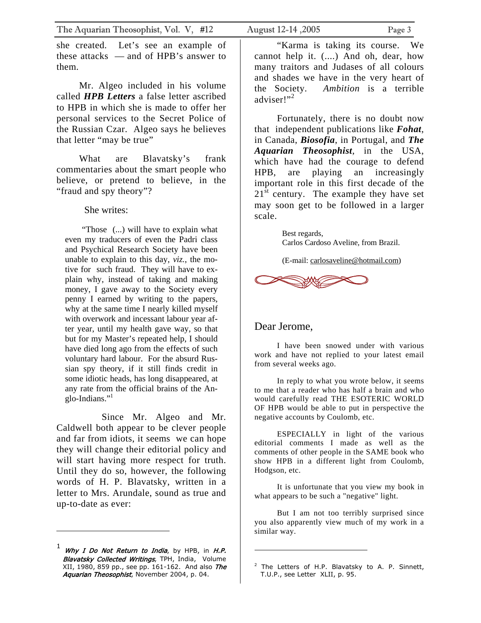she created. Let's see an example of these attacks — and of HPB's answer to them.

Mr. Algeo included in his volume called *HPB Letters* a false letter ascribed to HPB in which she is made to offer her personal services to the Secret Police of the Russian Czar. Algeo says he believes that letter "may be true"

What are Blavatsky's frank commentaries about the smart people who believe, or pretend to believe, in the "fraud and spy theory"?

She writes:

"Those (...) will have to explain what even my traducers of even the Padri class and Psychical Research Society have been unable to explain to this day, *viz.*, the motive for such fraud. They will have to explain why, instead of taking and making money, I gave away to the Society every penny I earned by writing to the papers, why at the same time I nearly killed myself with overwork and incessant labour year after year, until my health gave way, so that but for my Master's repeated help, I should have died long ago from the effects of such voluntary hard labour. For the absurd Russian spy theory, if it still finds credit in some idiotic heads, has long disappeared, at any rate from the official brains of the Anglo-Indians."<sup>1</sup>

Since Mr. Algeo and Mr. Caldwell both appear to be clever people and far from idiots, it seems we can hope they will change their editorial policy and will start having more respect for truth. Until they do so, however, the following words of H. P. Blavatsky, written in a letter to Mrs. Arundale, sound as true and up-to-date as ever:

"Karma is taking its course. We cannot help it. (....) And oh, dear, how many traitors and Judases of all colours and shades we have in the very heart of the Society. *Ambition* is a terrible adviser!"<sup>[2](#page-2-1)</sup>

Fortunately, there is no doubt now that independent publications like *Fohat*, in Canada, *Biosofia*, in Portugal, and *The Aquarian Theosophist*, in the USA, which have had the courage to defend HPB, are playing an increasingly important role in this first decade of the  $21<sup>st</sup>$  century. The example they have set may soon get to be followed in a larger scale.

> Best regards, Carlos Cardoso Aveline, from Brazil.

(E-mail: [carlosaveline@hotmail.com](mailto:carlosaveline@hotmail.com))



#### Dear Jerome,

I have been snowed under with various work and have not replied to your latest email from several weeks ago.

In reply to what you wrote below, it seems to me that a reader who has half a brain and who would carefully read THE ESOTERIC WORLD OF HPB would be able to put in perspective the negative accounts by Coulomb, etc.

ESPECIALLY in light of the various editorial comments I made as well as the comments of other people in the SAME book who show HPB in a different light from Coulomb, Hodgson, etc.

It is unfortunate that you view my book in what appears to be such a "negative" light.

But I am not too terribly surprised since you also apparently view much of my work in a similar way.

<span id="page-2-0"></span> $1$  Why I Do Not Return to India, by HPB, in H.P. Blavatsky Collected Writings, TPH, India, Volume XII, 1980, 859 pp., see pp. 161-162. And also The Aquarian Theosophist, November 2004, p. 04.

<span id="page-2-1"></span> $2$  The Letters of H.P. Blavatsky to A. P. Sinnett, T.U.P., see Letter XLII, p. 95.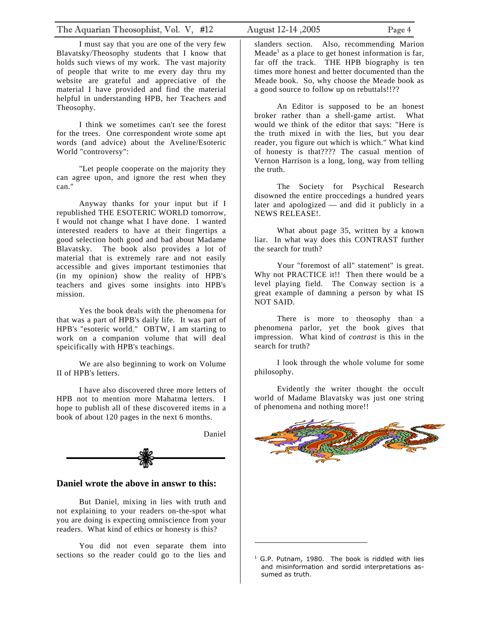I must say that you are one of the very few Blavatsky/Theosophy students that I know that holds such views of my work. The vast majority of people that write to me every day thru my website are grateful and appreciative of the material I have provided and find the material helpful in understanding HPB, her Teachers and Theosophy.

I think we sometimes can't see the forest for the trees. One correspondent wrote some apt words (and advice) about the Aveline/Esoteric World "controversy":

"Let people cooperate on the majority they can agree upon, and ignore the rest when they can."

Anyway thanks for your input but if I republished THE ESOTERIC WORLD tomorrow, I would not change what I have done. I wanted interested readers to have at their fingertips a good selection both good and bad about Madame Blavatsky. The book also provides a lot of material that is extremely rare and not easily accessible and gives important testimonies that (in my opinion) show the reality of HPB's teachers and gives some insights into HPB's mission.

Yes the book deals with the phenomena for that was a part of HPB's daily life. It was part of HPB's "esoteric world." OBTW, I am starting to work on a companion volume that will deal speicifically with HPB's teachings.

We are also beginning to work on Volume II of HPB's letters.

I have also discovered three more letters of HPB not to mention more Mahatma letters. I hope to publish all of these discovered items in a book of about 120 pages in the next 6 months.



#### **Daniel wrote the above in answr to this:**

But Daniel, mixing in lies with truth and not explaining to your readers on-the-spot what you are doing is expecting omniscience from your readers. What kind of ethics or honesty is this?

You did not even separate them into sections so the reader could go to the lies and

slanders section. Also, recommending Marion Meade<sup>[1](#page-3-0)</sup> as a place to get honest information is far, far off the track. THE HPB biography is ten times more honest and better documented than the Meade book. So, why choose the Meade book as a good source to follow up on rebuttals!!??

An Editor is supposed to be an honest broker rather than a shell-game artist. What would we think of the editor that says: "Here is the truth mixed in with the lies, but you dear reader, you figure out which is which." What kind of honesty is that???? The casual mention of Vernon Harrison is a long, long, way from telling the truth.

The Society for Psychical Research disowned the entire proccedings a hundred years later and apologized — and did it publicly in a NEWS RELEASE!.

What about page 35, written by a known liar. In what way does this CONTRAST further the search for truth?

Your "foremost of all" statement" is great. Why not PRACTICE it!! Then there would be a level playing field. The Conway section is a great example of damning a person by what IS NOT SAID.

There is more to theosophy than a phenomena parlor, yet the book gives that impression. What kind of *contrast* is this in the search for truth?

I look through the whole volume for some philosophy.

Evidently the writer thought the occult world of Madame Blavatsky was just one string of phenomena and nothing more!!



<span id="page-3-0"></span><sup>&</sup>lt;sup>1</sup> G.P. Putnam, 1980. The book is riddled with lies and misinformation and sordid interpretations assumed as truth.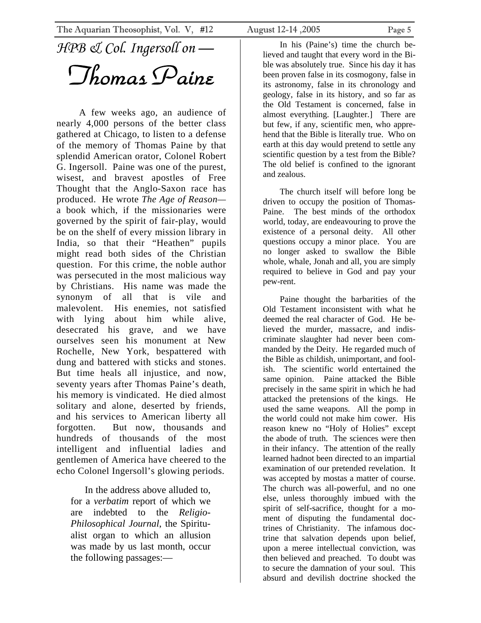<span id="page-4-0"></span>*HPB & Col. Ingersoll on —*

*Thomas Paine* 

A few weeks ago, an audience of nearly 4,000 persons of the better class gathered at Chicago, to listen to a defense of the memory of Thomas Paine by that splendid American orator, Colonel Robert G. Ingersoll. Paine was one of the purest, wisest, and bravest apostles of Free Thought that the Anglo-Saxon race has produced. He wrote *The Age of Reason* a book which, if the missionaries were governed by the spirit of fair-play, would be on the shelf of every mission library in India, so that their "Heathen" pupils might read both sides of the Christian question. For this crime, the noble author was persecuted in the most malicious way by Christians. His name was made the synonym of all that is vile and malevolent. His enemies, not satisfied with lying about him while alive, desecrated his grave, and we have ourselves seen his monument at New Rochelle, New York, bespattered with dung and battered with sticks and stones. But time heals all injustice, and now, seventy years after Thomas Paine's death, his memory is vindicated. He died almost solitary and alone, deserted by friends, and his services to American liberty all forgotten. But now, thousands and hundreds of thousands of the most intelligent and influential ladies and gentlemen of America have cheered to the echo Colonel Ingersoll's glowing periods.

In the address above alluded to, for a *verbatim* report of which we are indebted to the *Religio-Philosophical Journal*, the Spiritualist organ to which an allusion was made by us last month, occur the following passages:—

In his (Paine's) time the church believed and taught that every word in the Bible was absolutely true. Since his day it has been proven false in its cosmogony, false in its astronomy, false in its chronology and geology, false in its history, and so far as the Old Testament is concerned, false in almost everything. [Laughter.] There are but few, if any, scientific men, who apprehend that the Bible is literally true. Who on earth at this day would pretend to settle any scientific question by a test from the Bible? The old belief is confined to the ignorant and zealous.

The church itself will before long be driven to occupy the position of Thomas-Paine. The best minds of the orthodox world, today, are endeavouring to prove the existence of a personal deity. All other questions occupy a minor place. You are no longer asked to swallow the Bible whole, whale, Jonah and all, you are simply required to believe in God and pay your pew-rent.

Paine thought the barbarities of the Old Testament inconsistent with what he deemed the real character of God. He believed the murder, massacre, and indiscriminate slaughter had never been commanded by the Deity. He regarded much of the Bible as childish, unimportant, and foolish. The scientific world entertained the same opinion. Paine attacked the Bible precisely in the same spirit in which he had attacked the pretensions of the kings. He used the same weapons. All the pomp in the world could not make him cower. His reason knew no "Holy of Holies" except the abode of truth. The sciences were then in their infancy. The attention of the really learned hadnot been directed to an impartial examination of our pretended revelation. It was accepted by mostas a matter of course. The church was all-powerful, and no one else, unless thoroughly imbued with the spirit of self-sacrifice, thought for a moment of disputing the fundamental doctrines of Christianity. The infamous doctrine that salvation depends upon belief, upon a meree intellectual conviction, was then believed and preached. To doubt was to secure the damnation of your soul. This absurd and devilish doctrine shocked the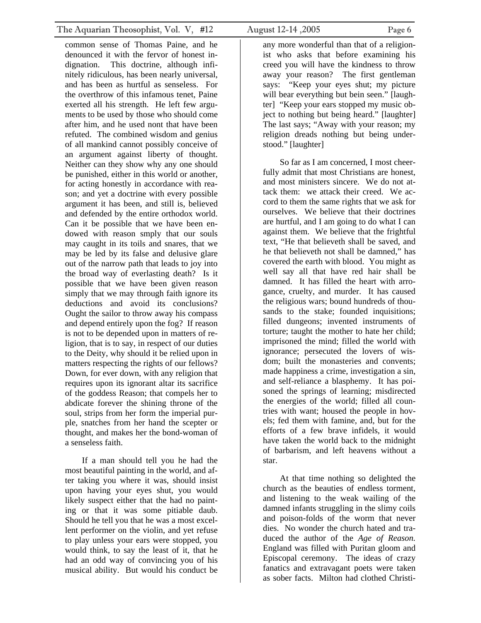common sense of Thomas Paine, and he denounced it with the fervor of honest indignation. This doctrine, although infinitely ridiculous, has been nearly universal, and has been as hurtful as senseless. For the overthrow of this infamous tenet, Paine exerted all his strength. He left few arguments to be used by those who should come after him, and he used nont that have been refuted. The combined wisdom and genius of all mankind cannot possibly conceive of an argument against liberty of thought. Neither can they show why any one should be punished, either in this world or another, for acting honestly in accordance with reason; and yet a doctrine with every possible argument it has been, and still is, believed and defended by the entire orthodox world. Can it be possible that we have been endowed with reason smply that our souls may caught in its toils and snares, that we may be led by its false and delusive glare out of the narrow path that leads to joy into the broad way of everlasting death? Is it possible that we have been given reason simply that we may through faith ignore its deductions and avoid its conclusions? Ought the sailor to throw away his compass and depend entirely upon the fog? If reason is not to be depended upon in matters of religion, that is to say, in respect of our duties to the Deity, why should it be relied upon in matters respecting the rights of our fellows? Down, for ever down, with any religion that requires upon its ignorant altar its sacrifice of the goddess Reason; that compels her to abdicate forever the shining throne of the soul, strips from her form the imperial purple, snatches from her hand the scepter or thought, and makes her the bond-woman of a senseless faith.

If a man should tell you he had the most beautiful painting in the world, and after taking you where it was, should insist upon having your eyes shut, you would likely suspect either that the had no painting or that it was some pitiable daub. Should he tell you that he was a most excellent performer on the violin, and yet refuse to play unless your ears were stopped, you would think, to say the least of it, that he had an odd way of convincing you of his musical ability. But would his conduct be

any more wonderful than that of a religionist who asks that before examining his creed you will have the kindness to throw away your reason? The first gentleman says: "Keep your eyes shut; my picture will bear everything but bein seen." [laughter] "Keep your ears stopped my music object to nothing but being heard." [laughter] The last says; "Away with your reason; my religion dreads nothing but being understood." [laughter]

So far as I am concerned, I most cheerfully admit that most Christians are honest, and most ministers sincere. We do not attack them: we attack their creed. We accord to them the same rights that we ask for ourselves. We believe that their doctrines are hurtful, and I am going to do what I can against them. We believe that the frightful text, "He that believeth shall be saved, and he that believeth not shall be damned," has covered the earth with blood. You might as well say all that have red hair shall be damned. It has filled the heart with arrogance, cruelty, and murder. It has caused the religious wars; bound hundreds of thousands to the stake; founded inquisitions; filled dungeons; invented instruments of torture; taught the mother to hate her child; imprisoned the mind; filled the world with ignorance; persecuted the lovers of wisdom; built the monasteries and convents; made happiness a crime, investigation a sin, and self-reliance a blasphemy. It has poisoned the springs of learning; misdirected the energies of the world; filled all countries with want; housed the people in hovels; fed them with famine, and, but for the efforts of a few brave infidels, it would have taken the world back to the midnight of barbarism, and left heavens without a star.

At that time nothing so delighted the church as the beauties of endless torment, and listening to the weak wailing of the damned infants struggling in the slimy coils and poison-folds of the worm that never dies. No wonder the church hated and traduced the author of the *Age of Reason.*  England was filled with Puritan gloom and Episcopal ceremony. The ideas of crazy fanatics and extravagant poets were taken as sober facts. Milton had clothed Christi-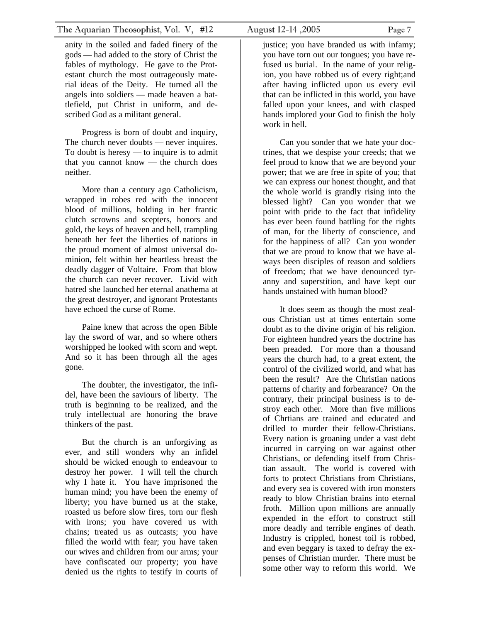anity in the soiled and faded finery of the gods — had added to the story of Christ the fables of mythology. He gave to the Protestant church the most outrageously material ideas of the Deity. He turned all the angels into soldiers — made heaven a battlefield, put Christ in uniform, and described God as a militant general.

Progress is born of doubt and inquiry, The church never doubts — never inquires. To doubt is heresy — to inquire is to admit that you cannot know — the church does neither.

More than a century ago Catholicism, wrapped in robes red with the innocent blood of millions, holding in her frantic clutch scrowns and scepters, honors and gold, the keys of heaven and hell, trampling beneath her feet the liberties of nations in the proud moment of almost universal dominion, felt within her heartless breast the deadly dagger of Voltaire. From that blow the church can never recover. Livid with hatred she launched her eternal anathema at the great destroyer, and ignorant Protestants have echoed the curse of Rome.

Paine knew that across the open Bible lay the sword of war, and so where others worshipped he looked with scorn and wept. And so it has been through all the ages gone.

The doubter, the investigator, the infidel, have been the saviours of liberty. The truth is beginning to be realized, and the truly intellectual are honoring the brave thinkers of the past.

But the church is an unforgiving as ever, and still wonders why an infidel should be wicked enough to endeavour to destroy her power. I will tell the church why I hate it. You have imprisoned the human mind; you have been the enemy of liberty; you have burned us at the stake, roasted us before slow fires, torn our flesh with irons; you have covered us with chains; treated us as outcasts; you have filled the world with fear; you have taken our wives and children from our arms; your have confiscated our property; you have denied us the rights to testify in courts of

justice; you have branded us with infamy; you have torn out our tongues; you have refused us burial. In the name of your religion, you have robbed us of every right;and after having inflicted upon us every evil that can be inflicted in this world, you have falled upon your knees, and with clasped hands implored your God to finish the holy work in hell.

Can you sonder that we hate your doctrines, that we despise your creeds; that we feel proud to know that we are beyond your power; that we are free in spite of you; that we can express our honest thought, and that the whole world is grandly rising into the blessed light? Can you wonder that we point with pride to the fact that infidelity has ever been found battling for the rights of man, for the liberty of conscience, and for the happiness of all? Can you wonder that we are proud to know that we have always been disciples of reason and soldiers of freedom; that we have denounced tyranny and superstition, and have kept our hands unstained with human blood?

It does seem as though the most zealous Christian ust at times entertain some doubt as to the divine origin of his religion. For eighteen hundred years the doctrine has been preaded. For more than a thousand years the church had, to a great extent, the control of the civilized world, and what has been the result? Are the Christian nations patterns of charity and forbearance? On the contrary, their principal business is to destroy each other. More than five millions of Chrtians are trained and educated and drilled to murder their fellow-Christians. Every nation is groaning under a vast debt incurred in carrying on war against other Christians, or defending itself from Christian assault. The world is covered with forts to protect Christians from Christians, and every sea is covered with iron monsters ready to blow Christian brains into eternal froth. Million upon millions are annually expended in the effort to construct still more deadly and terrible engines of death. Industry is crippled, honest toil is robbed, and even beggary is taxed to defray the expenses of Christian murder. There must be some other way to reform this world. We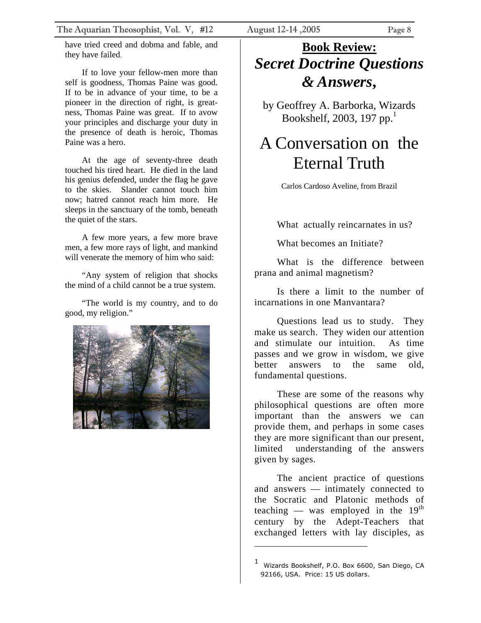<span id="page-7-0"></span>have tried creed and dobma and fable, and they have failed.

If to love your fellow-men more than self is goodness, Thomas Paine was good. If to be in advance of your time, to be a pioneer in the direction of right, is greatness, Thomas Paine was great. If to avow your principles and discharge your duty in the presence of death is heroic, Thomas Paine was a hero.

At the age of seventy-three death touched his tired heart. He died in the land his genius defended, under the flag he gave to the skies. Slander cannot touch him now; hatred cannot reach him more. He sleeps in the sanctuary of the tomb, beneath the quiet of the stars.

A few more years, a few more brave men, a few more rays of light, and mankind will venerate the memory of him who said:

"Any system of religion that shocks the mind of a child cannot be a true system.

"The world is my country, and to do good, my religion."



### **Book Review:**  *Secret Doctrine Questions & Answers***,**

by Geoffrey A. Barborka, Wizards Bookshelf, 2003, [1](#page-7-1)97 pp. $<sup>1</sup>$ </sup>

### A Conversation on the Eternal Truth

Carlos Cardoso Aveline, from Brazil

What actually reincarnates in us?

What becomes an Initiate?

What is the difference between prana and animal magnetism?

Is there a limit to the number of incarnations in one Manvantara?

Questions lead us to study. They make us search. They widen our attention and stimulate our intuition. As time passes and we grow in wisdom, we give better answers to the same old, fundamental questions.

These are some of the reasons why philosophical questions are often more important than the answers we can provide them, and perhaps in some cases they are more significant than our present, limited understanding of the answers given by sages.

The ancient practice of questions and answers — intimately connected to the Socratic and Platonic methods of teaching — was employed in the  $19<sup>th</sup>$ century by the Adept-Teachers that exchanged letters with lay disciples, as

<span id="page-7-1"></span><sup>1</sup> Wizards Bookshelf, P.O. Box 6600, San Diego, CA 92166, USA. Price: 15 US dollars.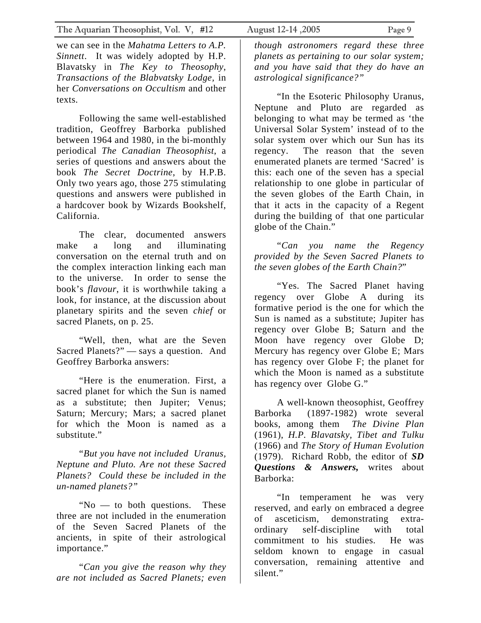we can see in the *Mahatma Letters to A.P. Sinnett*. It was widely adopted by H.P. Blavatsky in *The Key to Theosophy*, *Transactions of the Blabvatsky Lodge,* in her *Conversations on Occultism* and other texts.

Following the same well-established tradition, Geoffrey Barborka published between 1964 and 1980, in the bi-monthly periodical *The Canadian Theosophist*, a series of questions and answers about the book *The Secret Doctrine*, by H.P.B. Only two years ago, those 275 stimulating questions and answers were published in a hardcover book by Wizards Bookshelf, California.

The clear, documented answers make a long and illuminating conversation on the eternal truth and on the complex interaction linking each man to the universe. In order to sense the book's *flavour*, it is worthwhile taking a look, for instance, at the discussion about planetary spirits and the seven *chief* or sacred Planets, on p. 25.

"Well, then, what are the Seven Sacred Planets?" — says a question. And Geoffrey Barborka answers:

"Here is the enumeration. First, a sacred planet for which the Sun is named as a substitute; then Jupiter; Venus; Saturn; Mercury; Mars; a sacred planet for which the Moon is named as a substitute."

"*But you have not included Uranus, Neptune and Pluto. Are not these Sacred Planets? Could these be included in the un-named planets?"* 

"No — to both questions. These three are not included in the enumeration of the Seven Sacred Planets of the ancients, in spite of their astrological importance."

"*Can you give the reason why they are not included as Sacred Planets; even* 

*though astronomers regard these three planets as pertaining to our solar system; and you have said that they do have an astrological significance?"* 

"In the Esoteric Philosophy Uranus, Neptune and Pluto are regarded as belonging to what may be termed as 'the Universal Solar System' instead of to the solar system over which our Sun has its regency. The reason that the seven enumerated planets are termed 'Sacred' is this: each one of the seven has a special relationship to one globe in particular of the seven globes of the Earth Chain, in that it acts in the capacity of a Regent during the building of that one particular globe of the Chain."

"*Can you name the Regency provided by the Seven Sacred Planets to the seven globes of the Earth Chain?*"

"Yes. The Sacred Planet having regency over Globe A during its formative period is the one for which the Sun is named as a substitute; Jupiter has regency over Globe B; Saturn and the Moon have regency over Globe D; Mercury has regency over Globe E; Mars has regency over Globe F; the planet for which the Moon is named as a substitute has regency over Globe G."

A well-known theosophist, Geoffrey Barborka (1897-1982) wrote several books, among them *The Divine Plan* (1961), *H.P. Blavatsky, Tibet and Tulku* (1966) and *The Story of Human Evolution* (1979). Richard Robb, the editor of *SD Questions & Answers,* writes about Barborka:

"In temperament he was very reserved, and early on embraced a degree of asceticism, demonstrating extraordinary self-discipline with total commitment to his studies. He was seldom known to engage in casual conversation, remaining attentive and silent."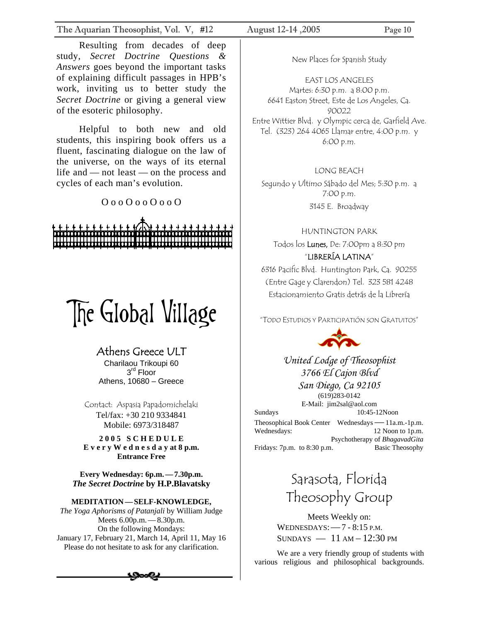<span id="page-9-0"></span>The Aquarian Theosophist, Vol. V, #12 August 12-14 ,2005 Page 10

Resulting from decades of deep study, *Secret Doctrine Questions & Answers* goes beyond the important tasks of explaining difficult passages in HPB's work, inviting us to better study the *Secret Doctrine* or giving a general view of the esoteric philosophy.

Helpful to both new and old students, this inspiring book offers us a fluent, fascinating dialogue on the law of the universe, on the ways of its eternal life and — not least — on the process and cycles of each man's evolution.

O o o O o o O o o O

# The Global Village

#### Athens Greece ULT

Charilaou Trikoupi 60 3<sup>rd</sup> Floor Athens, 10680 – Greece

Contact: Aspasia Papadomichelaki Tel/fax: +30 210 9334841 Mobile: 6973/318487

**2 0 0 5 S C H E D U L E E v e r y W e d n e s d a y at 8 p.m. Entrance Free**

**Every Wednesday: 6p.m.—7.30p.m.** *The Secret Doctrine* **by H.P.Blavatsky**

#### **MEDITATION—SELF-KNOWLEDGE,**

*The Yoga Aphorisms of Patanjali* by William Judge Meets 6.00p.m.—8.30p.m. On the following Mondays: January 17, February 21, March 14, April 11, May 16 Please do not hesitate to ask for any clarification.

New Places for Spanish Study

EAST LOS ANGELES Martes: 6:30 p.m. a 8:00 p.m. 6641 Easton Street, Este de Los Angeles, Ca. 90022 Entre Wittier Blvd. y Olympic cerca de, Garfield Ave. Tel. (323) 264 4065 Llamar entre, 4:00 p.m. y 6:00 p.m.

LONG BEACH Segundo y Ultimo Sábado del Mes; 5:30 p.m. a 7:00 p.m. 3145 E. Broadway

HUNTINGTON PARK

Todos los Lunes, De: 7:00pm a 8:30 pm "LIBRERÍA LATINA"

6316 Pacific Blvd. Huntington Park, Ca. 90255

(Entre Gage y Clarendon) Tel. 323 581 4248 Estacionamiento Gratis detrás de la Librería

"TODO ESTUDIOS Y PARTICIPATIÓN SON GRATUITOS"



*United Lodge of Theosophist 3766 El Cajon Blvd* 

*San Diego, Ca 92105*  (619)283-0142 E-Mail: jim2sal@aol.com Sundays 10:45-12Noon

Theosophical Book Center Wednesdays—11a.m.-1p.m. Wednesdays: 12 Noon to 1p.m. Psychotherapy of *BhagavadGita* Fridays: 7p.m. to 8:30 p.m. Basic Theosophy

### Sarasota, Florida Theosophy Group

Meets Weekly on: WEDNESDAYS:—7 - 8:15 P.M.  $SUNDAYS$   $-11 AM-12:30 PM$ 

We are a very friendly group of students with various religious and philosophical backgrounds.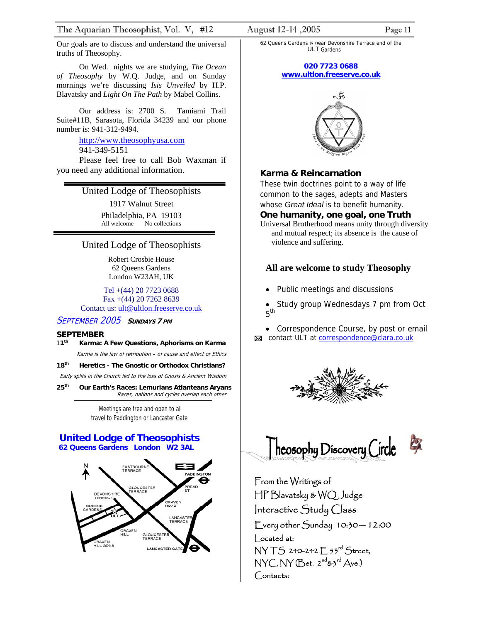Our goals are to discuss and understand the universal truths of Theosophy.

On Wed. nights we are studying, *The Ocean of Theosophy* by W.Q. Judge, and on Sunday mornings we're discussing *Isis Unveiled* by H.P. Blavatsky and *Light On The Path* by Mabel Collins.

Our address is: 2700 S. Tamiami Trail Suite#11B, Sarasota, Florida 34239 and our phone number is: 941-312-9494.

#### http://www.theosophyusa.com 941-349-5151

Please feel free to call Bob Waxman if you need any additional information.

#### United Lodge of Theosophists

1917 Walnut Street Philadelphia, PA 19103 All welcome No collections

#### United Lodge of Theosophists

Robert Crosbie House 62 Queens Gardens London W23AH, UK

Tel +(44) 20 7723 0688 Fax +(44) 20 7262 8639 Contact us: [ult@ultlon.freeserve.co.uk](mailto:ult@ultlon.freeserve.co.uk)

#### SEPTEMBER 2005 **<sup>S</sup>UNDAYS 7 PM**

#### **SEPTEMBER**

- Karma is the law of retribution of cause and effect or Ethics 1**1th Karma: A Few Questions, Aphorisms on Karma**
- **18th Heretics The Gnostic or Orthodox Christians?**

Early splits in the Church led to the loss of Gnosis & Ancient Wisdom

**25th Our Earth's Races: Lemurians Atlanteans Aryans**  Races, nations and cycles overlap each other

> Meetings are free and open to all travel to Paddington or Lancaster Gate

#### **United Lodge of Theosophists 62 Queens Gardens London W2 3AL**



62 Queens Gardens is near Devonshire Terrace end of the ULT Gardens

#### **020 7723 0688 [www.ultlon.freeserve.co.uk](http://www.ultlon.freeserve.co.uk/)**



#### **Karma & Reincarnation**

These twin doctrines point to a way of life common to the sages, adepts and Masters whose *Great Ideal* is to benefit humanity.

#### **One humanity, one goal, one Truth**

Universal Brotherhood means unity through diversity and mutual respect; its absence is the cause of violence and suffering.

#### **All are welcome to study Theosophy**

- Public meetings and discussions
- Study group Wednesdays 7 pm from Oct  $5<sup>th</sup>$

• Correspondence Course, by post or email

⊠ contact ULT at [correspondence@clara.co.uk](mailto:correspondence@clara.co.uk)





From the Writings of HP Blavatsky & WQ Judge Interactive Study Class Every other Sunday 10:30 — 12:00 Located at: NY T.S 240-242 F 53rd Street,  $NYC, NY$  (Bet.  $2^{nd}$ & $3^{rd}$  Ave.) Contacts: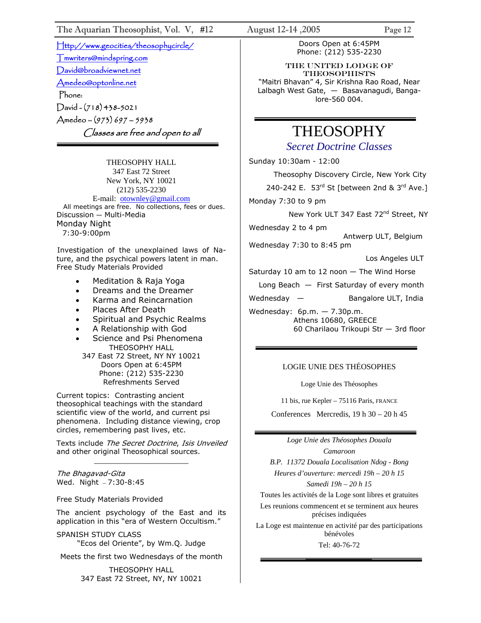[Http://www.geocities/theosophycircle/](http://www.geocities/theosophycircle/)  [Tmwriters@mindspring.com](mailto:Tmwriters@mindspring.com) [David@broadviewnet.net](mailto:David@broadviewnet.net) [Amedeo@optonline.net](mailto:Amedeo@optonline.net)  Phone:

David - (718) 438-5021 Amedeo – (973) 697 – 5938 Classes are free and open to all

THEOSOPHY HALL 347 East 72 Street New York, NY 10021 (212) 535-2230 E-mail: [otownley@gmail.com](mailto:Uotownley@gmail.comU) All meetings are free. No collections, fees or dues. Discussion — Multi-Media Monday Night 7:30-9:00pm

Investigation of the unexplained laws of Nature, and the psychical powers latent in man. Free Study Materials Provided

- Meditation & Raja Yoga
- Dreams and the Dreamer
- Karma and Reincarnation
- Places After Death
- Spiritual and Psychic Realms
- A Relationship with God
- Science and Psi Phenomena THEOSOPHY HALL 347 East 72 Street, NY NY 10021 Doors Open at 6:45PM Phone: (212) 535-2230 Refreshments Served

Current topics: Contrasting ancient theosophical teachings with the standard scientific view of the world, and current psi phenomena. Including distance viewing, crop circles, remembering past lives, etc.

Texts include *The Secret Doctrine, Isis Unveiled* and other original Theosophical sources. \_\_\_\_\_\_\_\_\_\_\_\_\_\_\_\_\_\_\_\_\_

The Bhagavad-Gita Wed. Night — 7:30-8:45

Free Study Materials Provided

The ancient psychology of the East and its application in this "era of Western Occultism."

SPANISH STUDY CLASS "Ecos del Oriente", by Wm.Q. Judge

Meets the first two Wednesdays of the month

THEOSOPHY HALL 347 East 72 Street, NY, NY 10021

Doors Open at 6:45PM Phone: (212) 535-2230

THE United Lodge of **THEOSOPHISTS** "Maitri Bhavan" 4, Sir Krishna Rao Road, Near Lalbagh West Gate, — Basavanagudi, Bangalore-560 004.

### THEOSOPHY

*Secret Doctrine Classes*

Sunday 10:30am - 12:00

Theosophy Discovery Circle, New York City

240-242 E. 53<sup>rd</sup> St [between 2nd & 3<sup>rd</sup> Ave.]

Monday 7:30 to 9 pm

New York ULT 347 East 72<sup>nd</sup> Street, NY

Wednesday 2 to 4 pm

 Antwerp ULT, Belgium Wednesday 7:30 to 8:45 pm

Los Angeles ULT

Saturday 10 am to 12 noon — The Wind Horse

Long Beach — First Saturday of every month

Wednesday — Bangalore ULT, India

Wednesday: 6p.m. — 7.30p.m. Athens 10680, GREECE 60 Charilaou Trikoupi Str — 3rd floor

#### LOGIE UNIE DES THÉOSOPHES

Loge Unie des Théosophes

11 bis, rue Kepler – 75116 Paris, FRANCE

Conferences Mercredis, 19 h 30 – 20 h 45

*Loge Unie des Théosophes Douala* 

*Camaroon B.P. 11372 Douala Localisation Ndog - Bong* 

*Heures d'ouverture: mercedi 19h – 20 h 15 Samedi 19h – 20 h 15* 

Toutes les activités de la Loge sont libres et gratuites

Les reunions commencent et se terminent aux heures précises indiquées

La Loge est maintenue en activité par des participations bénévoles

Tel: 40-76-72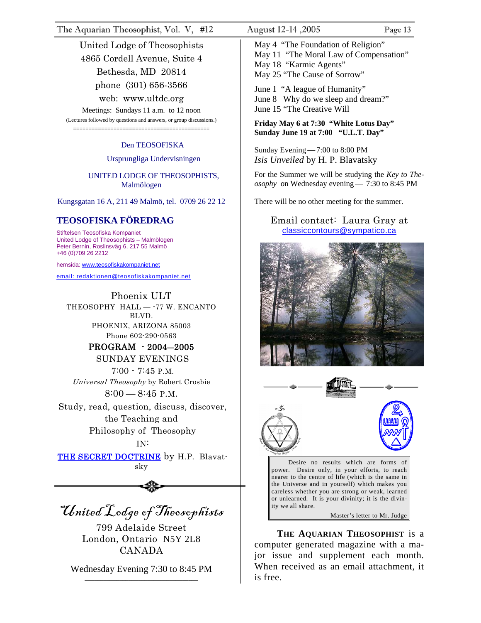The Aquarian Theosophist, Vol. V, #12 August 12-14 ,2005 Page 13

United Lodge of Theosophists 4865 Cordell Avenue, Suite 4 Bethesda, MD 20814 phone (301) 656-3566 web: www.ultdc.org

Meetings: Sundays 11 a.m. to 12 noon (Lectures followed by questions and answers, or group discussions.) ============================================

#### Den TEOSOFISKA

#### Ursprungliga Undervisningen

#### UNITED LODGE OF THEOSOPHISTS, Malmölogen

Kungsgatan 16 A, 211 49 Malmö, tel. 0709 26 22 12

#### **TEOSOFISKA FÖREDRAG**

Stiftelsen Teosofiska Kompaniet United Lodge of Theosophists – Malmölogen Peter Bernin, Roslinsväg 6, 217 55 Malmö +46 (0)709 26 2212

hemsida: [www.t](http://www.teosofiskakompaniet.net/)eosofiskakompaniet.net

[email: redaktionen@teosofiskakompaniet.net](http://www.teosofiskakompaniet.net/)

Phoenix ULT THEOSOPHY HALL - - 77 W. ENCANTO BLVD. PHOENIX, ARIZONA 85003 Phone 602-290-0563 PROGRAM - 2004―2005 SUNDAY EVENINGS

 7:00 - 7:45 P.M. Universal Theosophy by Robert Crosbie  $8:00-8:45$  P.M.

Study, read, question, discuss, discover, the Teaching and Philosophy of Theosophy

#### IN:

THE SECRET DOCTRINE by H.P. Blavatsky

United Lodge of Theosophists

799 Adelaide Street London, Ontario N5Y 2L8 CANADA

Wednesday Evening 7:30 to 8:45 PM \_\_\_\_\_\_\_\_\_\_\_\_\_\_\_\_\_\_\_\_\_\_\_\_\_\_\_\_\_\_\_\_\_\_\_\_

May 4 "The Foundation of Religion" May 11 "The Moral Law of Compensation" May 18 "Karmic Agents" May 25 "The Cause of Sorrow"

June 1 "A league of Humanity" June 8 Why do we sleep and dream?" June 15 "The Creative Will

**Friday May 6 at 7:30 "White Lotus Day" Sunday June 19 at 7:00 "U.L.T. Day"** 

Sunday Evening—7:00 to 8:00 PM *Isis Unveiled* by H. P. Blavatsky

For the Summer we will be studying the *Key to Theosophy* on Wednesday evening— 7:30 to 8:45 PM

There will be no other meeting for the summer.

#### Email contact: Laura Gray at [classiccontours@sympatico.ca](mailto:classiccontours@sympatico.ca)





Desire no results which are forms of power. Desire only, in your efforts, to reach nearer to the centre of life (which is the same in the Universe and in yourself) which makes you careless whether you are strong or weak, learned or unlearned. It is your divinity; it is the divinity we all share.

Master's letter to Mr. Judge

**THE AQUARIAN THEOSOPHIST** is a computer generated magazine with a major issue and supplement each month. When received as an email attachment, it is free.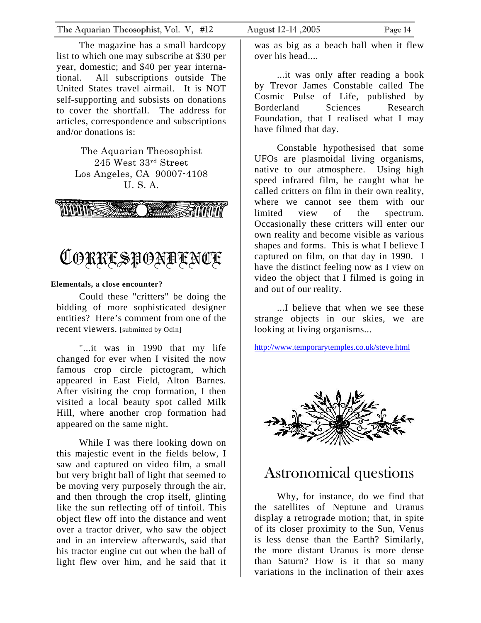<span id="page-13-0"></span>The magazine has a small hardcopy list to which one may subscribe at \$30 per year, domestic; and \$40 per year international. All subscriptions outside The United States travel airmail. It is NOT self-supporting and subsists on donations to cover the shortfall. The address for articles, correspondence and subscriptions and/or donations is:

> The Aquarian Theosophist 245 West 33rd Street Los Angeles, CA 90007-4108 U. S. A.





#### **Elementals, a close encounter?**

Could these "critters" be doing the bidding of more sophisticated designer entities? Here's comment from one of the recent viewers. [submitted by Odin]

"...it was in 1990 that my life changed for ever when I visited the now famous crop circle pictogram, which appeared in East Field, Alton Barnes. After visiting the crop formation, I then visited a local beauty spot called Milk Hill, where another crop formation had appeared on the same night.

While I was there looking down on this majestic event in the fields below, I saw and captured on video film, a small but very bright ball of light that seemed to be moving very purposely through the air, and then through the crop itself, glinting like the sun reflecting off of tinfoil. This object flew off into the distance and went over a tractor driver, who saw the object and in an interview afterwards, said that his tractor engine cut out when the ball of light flew over him, and he said that it

was as big as a beach ball when it flew over his head....

...it was only after reading a book by Trevor James Constable called The Cosmic Pulse of Life, published by Borderland Sciences Research Foundation, that I realised what I may have filmed that day.

Constable hypothesised that some UFOs are plasmoidal living organisms, native to our atmosphere. Using high speed infrared film, he caught what he called critters on film in their own reality, where we cannot see them with our limited view of the spectrum. Occasionally these critters will enter our own reality and become visible as various shapes and forms. This is what I believe I captured on film, on that day in 1990. I have the distinct feeling now as I view on video the object that I filmed is going in and out of our reality.

...I believe that when we see these strange objects in our skies, we are looking at living organisms...

<http://www.temporarytemples.co.uk/steve.html>



### Astronomical questions

Why, for instance, do we find that the satellites of Neptune and Uranus display a retrograde motion; that, in spite of its closer proximity to the Sun, Venus is less dense than the Earth? Similarly, the more distant Uranus is more dense than Saturn? How is it that so many variations in the inclination of their axes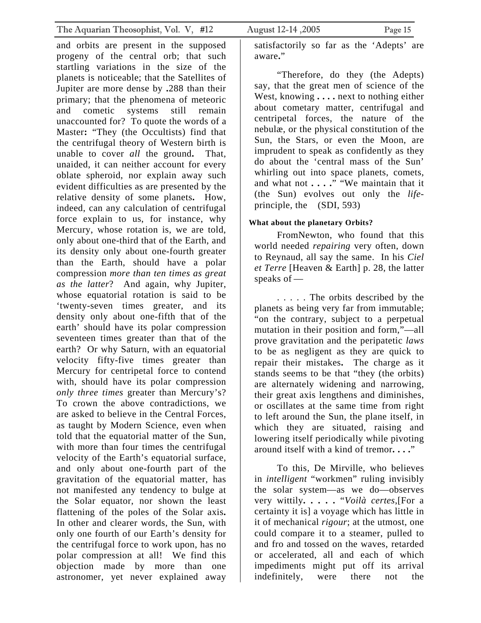and orbits are present in the supposed progeny of the central orb; that such startling variations in the size of the planets is noticeable; that the Satellites of Jupiter are more dense by **.**288 than their primary; that the phenomena of meteoric and cometic systems still remain unaccounted for? To quote the words of a Master**:** "They (the Occultists) find that the centrifugal theory of Western birth is unable to cover *all* the ground**.** That, unaided, it can neither account for every oblate spheroid, nor explain away such evident difficulties as are presented by the relative density of some planets**.** How, indeed, can any calculation of centrifugal force explain to us, for instance, why Mercury, whose rotation is, we are told, only about one-third that of the Earth, and its density only about one-fourth greater than the Earth, should have a polar compression *more than ten times as great as the latter*? And again, why Jupiter, whose equatorial rotation is said to be 'twenty-seven times greater, and its density only about one-fifth that of the earth' should have its polar compression seventeen times greater than that of the earth? Or why Saturn, with an equatorial velocity fifty-five times greater than Mercury for centripetal force to contend with, should have its polar compression *only three times* greater than Mercury's? To crown the above contradictions, we are asked to believe in the Central Forces, as taught by Modern Science, even when told that the equatorial matter of the Sun, with more than four times the centrifugal velocity of the Earth's equatorial surface, and only about one-fourth part of the gravitation of the equatorial matter, has not manifested any tendency to bulge at the Solar equator, nor shown the least flattening of the poles of the Solar axis**.**  In other and clearer words, the Sun, with only one fourth of our Earth's density for the centrifugal force to work upon, has no polar compression at all! We find this objection made by more than one astronomer, yet never explained away

satisfactorily so far as the 'Adepts' are aware**.**"

"Therefore, do they (the Adepts) say, that the great men of science of the West, knowing **. . . .** next to nothing either about cometary matter, centrifugal and centripetal forces, the nature of the nebulæ, or the physical constitution of the Sun, the Stars, or even the Moon, are imprudent to speak as confidently as they do about the 'central mass of the Sun' whirling out into space planets, comets, and what not **. . . .**" "We maintain that it (the Sun) evolves out only the *life*principle, the (SDI, 593)

#### **What about the planetary Orbits?**

FromNewton, who found that this world needed *repairing* very often, down to Reynaud, all say the same. In his *Ciel et Terre* [Heaven & Earth] p. 28, the latter speaks of —

. . . . . The orbits described by the planets as being very far from immutable; "on the contrary, subject to a perpetual mutation in their position and form,"—all prove gravitation and the peripatetic *laws* to be as negligent as they are quick to repair their mistakes**.** The charge as it stands seems to be that "they (the orbits) are alternately widening and narrowing, their great axis lengthens and diminishes, or oscillates at the same time from right to left around the Sun, the plane itself, in which they are situated, raising and lowering itself periodically while pivoting around itself with a kind of tremor**. . . .**"

To this, De Mirville, who believes in *intelligent* "workmen" ruling invisibly the solar system—as we do—observes very wittily**. . . . .** "*Voilà certes*,[For a certainty it is] a voyage which has little in it of mechanical *rigour*; at the utmost, one could compare it to a steamer, pulled to and fro and tossed on the waves, retarded or accelerated, all and each of which impediments might put off its arrival indefinitely, were there not the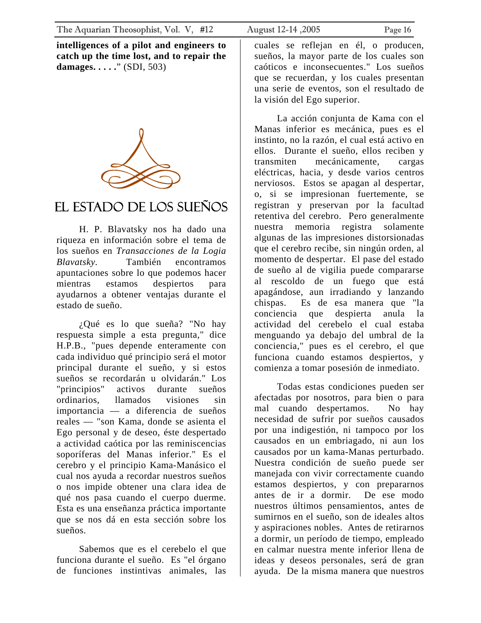<span id="page-15-0"></span>**intelligences of a pilot and engineers to catch up the time lost, and to repair the damages. . . . .**" (SDI, 503)



### El Estado de los Sueños

H. P. Blavatsky nos ha dado una riqueza en información sobre el tema de los sueños en *Transacciones de la Logia Blavatsky.* También encontramos apuntaciones sobre lo que podemos hacer mientras estamos despiertos para ayudarnos a obtener ventajas durante el estado de sueño.

¿Qué es lo que sueña? "No hay respuesta simple a esta pregunta," dice H.P.B., "pues depende enteramente con cada individuo qué principio será el motor principal durante el sueño, y si estos sueños se recordarán u olvidarán." Los "principios" activos durante sueños ordinarios, llamados visiones sin importancia — a diferencia de sueños reales — "son Kama, donde se asienta el Ego personal y de deseo, éste despertado a actividad caótica por las reminiscencias soporíferas del Manas inferior." Es el cerebro y el principio Kama-Manásico el cual nos ayuda a recordar nuestros sueños o nos impide obtener una clara idea de qué nos pasa cuando el cuerpo duerme. Esta es una enseñanza práctica importante que se nos dá en esta sección sobre los sueños.

Sabemos que es el cerebelo el que funciona durante el sueño. Es "el órgano de funciones instintivas animales, las

cuales se reflejan en él, o producen, sueños, la mayor parte de los cuales son caóticos e inconsecuentes." Los sueños que se recuerdan, y los cuales presentan una serie de eventos, son el resultado de la visión del Ego superior.

La acción conjunta de Kama con el Manas inferior es mecánica, pues es el instinto, no la razón, el cual está activo en ellos. Durante el sueño, ellos reciben y transmiten mecánicamente, cargas eléctricas, hacia, y desde varios centros nerviosos. Estos se apagan al despertar, o, si se impresionan fuertemente, se registran y preservan por la facultad retentiva del cerebro. Pero generalmente nuestra memoria registra solamente algunas de las impresiones distorsionadas que el cerebro recibe, sin ningún orden, al momento de despertar. El pase del estado de sueño al de vigilia puede compararse al rescoldo de un fuego que está apagándose, aun irradiando y lanzando chispas. Es de esa manera que "la conciencia que despierta anula la actividad del cerebelo el cual estaba menguando ya debajo del umbral de la conciencia," pues es el cerebro, el que funciona cuando estamos despiertos, y comienza a tomar posesión de inmediato.

Todas estas condiciones pueden ser afectadas por nosotros, para bien o para mal cuando despertamos. No hay necesidad de sufrir por sueños causados por una indigestión, ni tampoco por los causados en un embriagado, ni aun los causados por un kama-Manas perturbado. Nuestra condición de sueño puede ser manejada con vivir correctamente cuando estamos despiertos, y con prepararnos antes de ir a dormir. De ese modo nuestros últimos pensamientos, antes de sumirnos en el sueño, son de ideales altos y aspiraciones nobles. Antes de retirarnos a dormir, un período de tiempo, empleado en calmar nuestra mente inferior llena de ideas y deseos personales, será de gran ayuda. De la misma manera que nuestros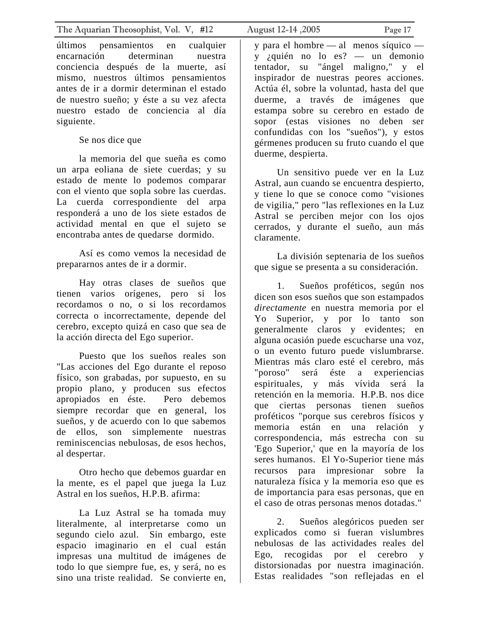The Aquarian Theosophist, Vol. V, #12 August 12-14 ,2005 Page 17

últimos pensamientos en cualquier encarnación determinan nuestra conciencia después de la muerte, así mismo, nuestros últimos pensamientos antes de ir a dormir determinan el estado de nuestro sueño; y éste a su vez afecta nuestro estado de conciencia al día siguiente.

Se nos dice que

la memoria del que sueña es como un arpa eoliana de siete cuerdas; y su estado de mente lo podemos comparar con el viento que sopla sobre las cuerdas. La cuerda correspondiente del arpa responderá a uno de los siete estados de actividad mental en que el sujeto se encontraba antes de quedarse dormido.

Así es como vemos la necesidad de prepararnos antes de ir a dormir.

Hay otras clases de sueños que tienen varios orígenes, pero si los recordamos o no, o si los recordamos correcta o incorrectamente, depende del cerebro, excepto quizá en caso que sea de la acción directa del Ego superior.

Puesto que los sueños reales son "Las acciones del Ego durante el reposo físico, son grabadas, por supuesto, en su propio plano, y producen sus efectos apropiados en éste. Pero debemos siempre recordar que en general, los sueños, y de acuerdo con lo que sabemos de ellos, son simplemente nuestras reminiscencias nebulosas, de esos hechos, al despertar.

Otro hecho que debemos guardar en la mente, es el papel que juega la Luz Astral en los sueños, H.P.B. afirma:

La Luz Astral se ha tomada muy literalmente, al interpretarse como un segundo cielo azul. Sin embargo, este espacio imaginario en el cual están impresas una multitud de imágenes de todo lo que siempre fue, es, y será, no es sino una triste realidad. Se convierte en,

y para el hombre — al menos síquico y ¿quién no lo es? — un demonio tentador, su "ángel maligno," y el inspirador de nuestras peores acciones. Actúa él, sobre la voluntad, hasta del que duerme, a través de imágenes que estampa sobre su cerebro en estado de sopor (estas visiones no deben ser confundidas con los "sueños"), y estos gérmenes producen su fruto cuando el que duerme, despierta.

Un sensitivo puede ver en la Luz Astral, aun cuando se encuentra despierto, y tiene lo que se conoce como "visiones de vigilia," pero "las reflexiones en la Luz Astral se perciben mejor con los ojos cerrados, y durante el sueño, aun más claramente.

La división septenaria de los sueños que sigue se presenta a su consideración.

1. Sueños proféticos, según nos dicen son esos sueños que son estampados *directamente* en nuestra memoria por el Yo Superior, y por lo tanto son generalmente claros y evidentes; en alguna ocasión puede escucharse una voz, o un evento futuro puede vislumbrarse. Mientras más claro esté el cerebro, más "poroso" será éste a experiencias espirituales, y más vívida será la retención en la memoria. H.P.B. nos dice que ciertas personas tienen sueños proféticos "porque sus cerebros físicos y memoria están en una relación y correspondencia, más estrecha con su 'Ego Superior,' que en la mayoría de los seres humanos. El Yo-Superior tiene más recursos para impresionar sobre la naturaleza física y la memoria eso que es de importancia para esas personas, que en el caso de otras personas menos dotadas."

2. Sueños alegóricos pueden ser explicados como si fueran vislumbres nebulosas de las actividades reales del Ego, recogidas por el cerebro y distorsionadas por nuestra imaginación. Estas realidades "son reflejadas en el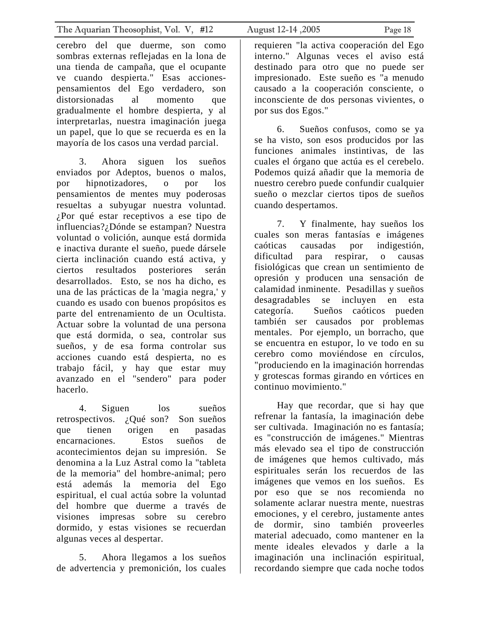cerebro del que duerme, son como sombras externas reflejadas en la lona de una tienda de campaña, que el ocupante ve cuando despierta." Esas accionespensamientos del Ego verdadero, son distorsionadas al momento que gradualmente el hombre despierta, y al interpretarlas, nuestra imaginación juega un papel, que lo que se recuerda es en la mayoría de los casos una verdad parcial.

3. Ahora siguen los sueños enviados por Adeptos, buenos o malos, por hipnotizadores, o por los pensamientos de mentes muy poderosas resueltas a subyugar nuestra voluntad. ¿Por qué estar receptivos a ese tipo de influencias?¿Dónde se estampan? Nuestra voluntad o volición, aunque está dormida e inactiva durante el sueño, puede dársele cierta inclinación cuando está activa, y ciertos resultados posteriores serán desarrollados. Esto, se nos ha dicho, es una de las prácticas de la 'magia negra,' y cuando es usado con buenos propósitos es parte del entrenamiento de un Ocultista. Actuar sobre la voluntad de una persona que está dormida, o sea, controlar sus sueños, y de esa forma controlar sus acciones cuando está despierta, no es trabajo fácil, y hay que estar muy avanzado en el "sendero" para poder hacerlo.

4. Siguen los sueños retrospectivos. ¿Qué son? Son sueños que tienen origen en pasadas encarnaciones. Estos sueños de acontecimientos dejan su impresión. Se denomina a la Luz Astral como la "tableta de la memoria" del hombre-animal; pero está además la memoria del Ego espiritual, el cual actúa sobre la voluntad del hombre que duerme a través de visiones impresas sobre su cerebro dormido, y estas visiones se recuerdan algunas veces al despertar.

5. Ahora llegamos a los sueños de advertencia y premonición, los cuales

requieren "la activa cooperación del Ego interno." Algunas veces el aviso está destinado para otro que no puede ser impresionado. Este sueño es "a menudo causado a la cooperación consciente, o inconsciente de dos personas vivientes, o por sus dos Egos."

6. Sueños confusos, como se ya se ha visto, son esos producidos por las funciones animales instintivas, de las cuales el órgano que actúa es el cerebelo. Podemos quizá añadir que la memoria de nuestro cerebro puede confundir cualquier sueño o mezclar ciertos tipos de sueños cuando despertamos.

7. Y finalmente, hay sueños los cuales son meras fantasías e imágenes caóticas causadas por indigestión, dificultad para respirar, o causas fisiológicas que crean un sentimiento de opresión y producen una sensación de calamidad inminente. Pesadillas y sueños desagradables se incluyen en esta categoría. Sueños caóticos pueden también ser causados por problemas mentales. Por ejemplo, un borracho, que se encuentra en estupor, lo ve todo en su cerebro como moviéndose en círculos, "produciendo en la imaginación horrendas y grotescas formas girando en vórtices en continuo movimiento."

Hay que recordar, que si hay que refrenar la fantasía, la imaginación debe ser cultivada. Imaginación no es fantasía; es "construcción de imágenes." Mientras más elevado sea el tipo de construcción de imágenes que hemos cultivado, más espirituales serán los recuerdos de las imágenes que vemos en los sueños. Es por eso que se nos recomienda no solamente aclarar nuestra mente, nuestras emociones, y el cerebro, justamente antes de dormir, sino también proveerles material adecuado, como mantener en la mente ideales elevados y darle a la imaginación una inclinación espiritual, recordando siempre que cada noche todos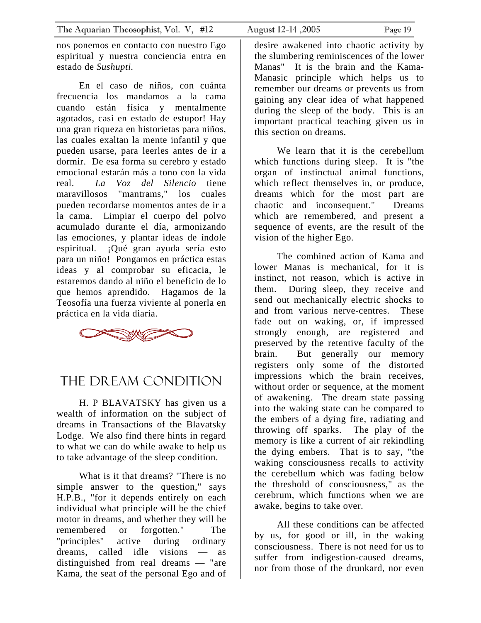<span id="page-18-0"></span>nos ponemos en contacto con nuestro Ego espiritual y nuestra conciencia entra en estado de *Sushupti.*

En el caso de niños, con cuánta frecuencia los mandamos a la cama cuando están física y mentalmente agotados, casi en estado de estupor! Hay una gran riqueza en historietas para niños, las cuales exaltan la mente infantil y que pueden usarse, para leerles antes de ir a dormir. De esa forma su cerebro y estado emocional estarán más a tono con la vida real. *La Voz del Silencio* tiene maravillosos "mantrams," los cuales pueden recordarse momentos antes de ir a la cama. Limpiar el cuerpo del polvo acumulado durante el día, armonizando las emociones, y plantar ideas de índole espiritual. ¡Qué gran ayuda sería esto para un niño! Pongamos en práctica estas ideas y al comprobar su eficacia, le estaremos dando al niño el beneficio de lo que hemos aprendido. Hagamos de la Teosofía una fuerza viviente al ponerla en práctica en la vida diaria.



### THE DREAM CONDITION

H. P BLAVATSKY has given us a wealth of information on the subject of dreams in Transactions of the Blavatsky Lodge. We also find there hints in regard to what we can do while awake to help us to take advantage of the sleep condition.

What is it that dreams? "There is no simple answer to the question," says H.P.B., "for it depends entirely on each individual what principle will be the chief motor in dreams, and whether they will be remembered or forgotten." The "principles" active during ordinary dreams, called idle visions — as distinguished from real dreams — "are Kama, the seat of the personal Ego and of

desire awakened into chaotic activity by the slumbering reminiscences of the lower Manas" It is the brain and the Kama-Manasic principle which helps us to remember our dreams or prevents us from gaining any clear idea of what happened during the sleep of the body. This is an important practical teaching given us in this section on dreams.

We learn that it is the cerebellum which functions during sleep. It is "the organ of instinctual animal functions, which reflect themselves in, or produce, dreams which for the most part are chaotic and inconsequent." Dreams which are remembered, and present a sequence of events, are the result of the vision of the higher Ego.

The combined action of Kama and lower Manas is mechanical, for it is instinct, not reason, which is active in them. During sleep, they receive and send out mechanically electric shocks to and from various nerve-centres. These fade out on waking, or, if impressed strongly enough, are registered and preserved by the retentive faculty of the brain. But generally our memory registers only some of the distorted impressions which the brain receives, without order or sequence, at the moment of awakening. The dream state passing into the waking state can be compared to the embers of a dying fire, radiating and throwing off sparks. The play of the memory is like a current of air rekindling the dying embers. That is to say, "the waking consciousness recalls to activity the cerebellum which was fading below the threshold of consciousness," as the cerebrum, which functions when we are awake, begins to take over.

All these conditions can be affected by us, for good or ill, in the waking consciousness. There is not need for us to suffer from indigestion-caused dreams, nor from those of the drunkard, nor even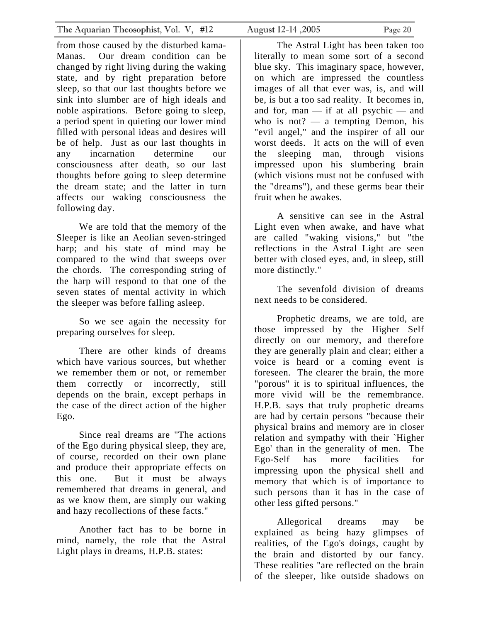from those caused by the disturbed kama-Manas. Our dream condition can be changed by right living during the waking state, and by right preparation before sleep, so that our last thoughts before we sink into slumber are of high ideals and noble aspirations. Before going to sleep, a period spent in quieting our lower mind filled with personal ideas and desires will be of help. Just as our last thoughts in any incarnation determine our consciousness after death, so our last thoughts before going to sleep determine the dream state; and the latter in turn affects our waking consciousness the following day.

We are told that the memory of the Sleeper is like an Aeolian seven-stringed harp; and his state of mind may be compared to the wind that sweeps over the chords. The corresponding string of the harp will respond to that one of the seven states of mental activity in which the sleeper was before falling asleep.

So we see again the necessity for preparing ourselves for sleep.

There are other kinds of dreams which have various sources, but whether we remember them or not, or remember them correctly or incorrectly, still depends on the brain, except perhaps in the case of the direct action of the higher Ego.

Since real dreams are "The actions of the Ego during physical sleep, they are, of course, recorded on their own plane and produce their appropriate effects on this one. But it must be always remembered that dreams in general, and as we know them, are simply our waking and hazy recollections of these facts."

Another fact has to be borne in mind, namely, the role that the Astral Light plays in dreams, H.P.B. states:

The Astral Light has been taken too literally to mean some sort of a second blue sky. This imaginary space, however, on which are impressed the countless images of all that ever was, is, and will be, is but a too sad reality. It becomes in, and for, man — if at all psychic — and who is not? — a tempting Demon, his "evil angel," and the inspirer of all our worst deeds. It acts on the will of even the sleeping man, through visions impressed upon his slumbering brain (which visions must not be confused with the "dreams"), and these germs bear their fruit when he awakes.

A sensitive can see in the Astral Light even when awake, and have what are called "waking visions," but "the reflections in the Astral Light are seen better with closed eyes, and, in sleep, still more distinctly."

The sevenfold division of dreams next needs to be considered.

Prophetic dreams, we are told, are those impressed by the Higher Self directly on our memory, and therefore they are generally plain and clear; either a voice is heard or a coming event is foreseen. The clearer the brain, the more "porous" it is to spiritual influences, the more vivid will be the remembrance. H.P.B. says that truly prophetic dreams are had by certain persons "because their physical brains and memory are in closer relation and sympathy with their `Higher Ego' than in the generality of men. The Ego-Self has more facilities for impressing upon the physical shell and memory that which is of importance to such persons than it has in the case of other less gifted persons."

Allegorical dreams may be explained as being hazy glimpses of realities, of the Ego's doings, caught by the brain and distorted by our fancy. These realities "are reflected on the brain of the sleeper, like outside shadows on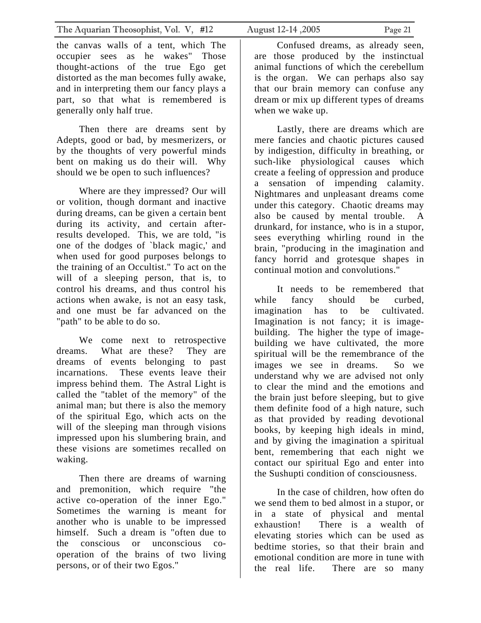The Aquarian Theosophist, Vol. V, #12 August 12-14, 2005 Page 21

the canvas walls of a tent, which The occupier sees as he wakes" Those thought-actions of the true Ego get distorted as the man becomes fully awake, and in interpreting them our fancy plays a part, so that what is remembered is generally only half true.

Then there are dreams sent by Adepts, good or bad, by mesmerizers, or by the thoughts of very powerful minds bent on making us do their will. Why should we be open to such influences?

Where are they impressed? Our will or volition, though dormant and inactive during dreams, can be given a certain bent during its activity, and certain afterresults developed. This, we are told, "is one of the dodges of `black magic,' and when used for good purposes belongs to the training of an Occultist." To act on the will of a sleeping person, that is, to control his dreams, and thus control his actions when awake, is not an easy task, and one must be far advanced on the "path" to be able to do so.

We come next to retrospective dreams. What are these? They are dreams of events belonging to past incarnations. These events leave their impress behind them. The Astral Light is called the "tablet of the memory" of the animal man; but there is also the memory of the spiritual Ego, which acts on the will of the sleeping man through visions impressed upon his slumbering brain, and these visions are sometimes recalled on waking.

Then there are dreams of warning and premonition, which require "the active co-operation of the inner Ego." Sometimes the warning is meant for another who is unable to be impressed himself. Such a dream is "often due to the conscious or unconscious cooperation of the brains of two living persons, or of their two Egos."

Confused dreams, as already seen, are those produced by the instinctual animal functions of which the cerebellum is the organ. We can perhaps also say that our brain memory can confuse any dream or mix up different types of dreams when we wake up.

Lastly, there are dreams which are mere fancies and chaotic pictures caused by indigestion, difficulty in breathing, or such-like physiological causes which create a feeling of oppression and produce a sensation of impending calamity. Nightmares and unpleasant dreams come under this category. Chaotic dreams may also be caused by mental trouble. A drunkard, for instance, who is in a stupor, sees everything whirling round in the brain, "producing in the imagination and fancy horrid and grotesque shapes in continual motion and convolutions."

It needs to be remembered that while fancy should be curbed, imagination has to be cultivated. Imagination is not fancy; it is imagebuilding. The higher the type of imagebuilding we have cultivated, the more spiritual will be the remembrance of the images we see in dreams. So we understand why we are advised not only to clear the mind and the emotions and the brain just before sleeping, but to give them definite food of a high nature, such as that provided by reading devotional books, by keeping high ideals in mind, and by giving the imagination a spiritual bent, remembering that each night we contact our spiritual Ego and enter into the Sushupti condition of consciousness.

In the case of children, how often do we send them to bed almost in a stupor, or in a state of physical and mental exhaustion! There is a wealth of elevating stories which can be used as bedtime stories, so that their brain and emotional condition are more in tune with the real life. There are so many